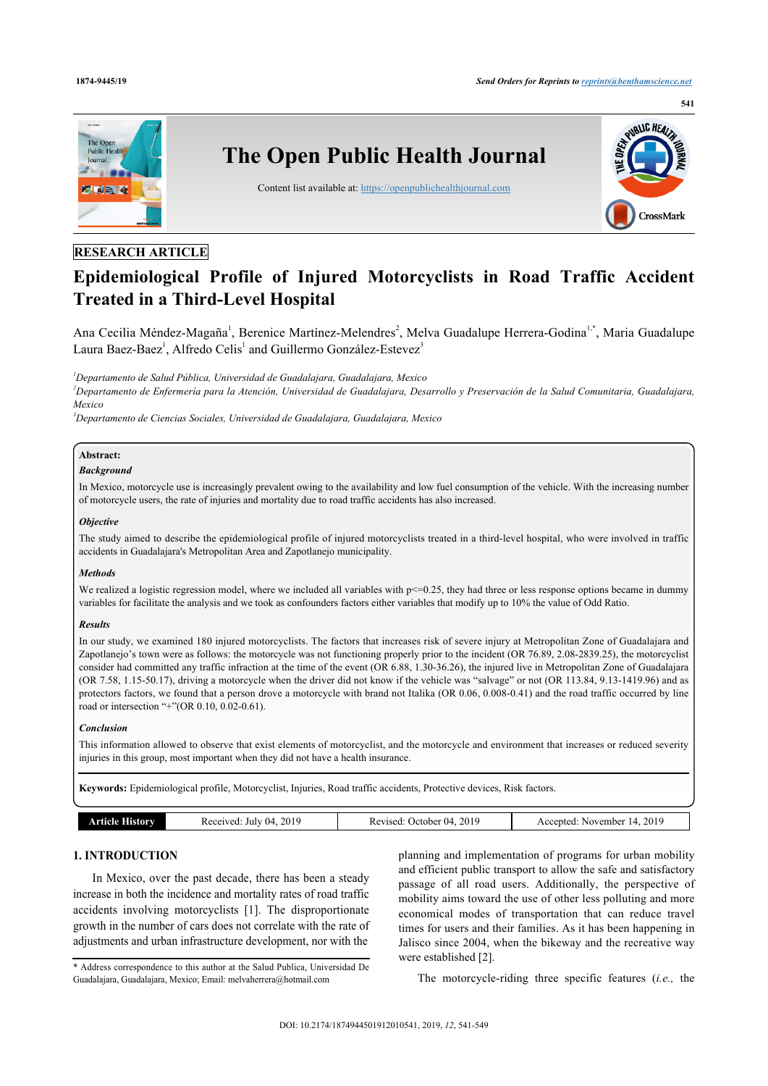

# **RESEARCH ARTICLE**

# **Epidemiological Profile of Injured Motorcyclists in Road Traffic Accident Treated in a Third-Level Hospital**

Ana Cecilia Méndez-Magaña<sup>[1](#page-0-0)</sup>, Berenice Martínez-Melendres<sup>[2](#page-0-1)</sup>, Melva Guadalupe Herrera-Godina<sup>1[,\\*](#page-0-2)</sup>, Maria Guadalupe Laura Baez-Baez<sup>[1](#page-0-0)</sup>, Alfredo Celis<sup>1</sup> and Guillermo González-Estevez<sup>[3](#page-0-3)</sup>

<span id="page-0-0"></span>*<sup>1</sup>Departamento de Salud Pública, Universidad de Guadalajara, Guadalajara, Mexico*

<span id="page-0-1"></span>*<sup>2</sup>Departamento de Enfermería para la Atención, Universidad de Guadalajara, Desarrollo y Preservación de la Salud Comunitaria, Guadalajara, Mexico*

<span id="page-0-3"></span>*<sup>3</sup>Departamento de Ciencias Sociales, Universidad de Guadalajara, Guadalajara, Mexico*

#### **Abstract:** *Background*

In Mexico, motorcycle use is increasingly prevalent owing to the availability and low fuel consumption of the vehicle. With the increasing number of motorcycle users, the rate of injuries and mortality due to road traffic accidents has also increased.

#### *Objective*

The study aimed to describe the epidemiological profile of injured motorcyclists treated in a third-level hospital, who were involved in traffic accidents in Guadalajara's Metropolitan Area and Zapotlanejo municipality.

#### *Methods*

We realized a logistic regression model, where we included all variables with  $p \le 0.25$ , they had three or less response options became in dummy variables for facilitate the analysis and we took as confounders factors either variables that modify up to 10% the value of Odd Ratio.

#### *Results*

In our study, we examined 180 injured motorcyclists. The factors that increases risk of severe injury at Metropolitan Zone of Guadalajara and Zapotlanejo's town were as follows: the motorcycle was not functioning properly prior to the incident (OR 76.89, 2.08-2839.25), the motorcyclist consider had committed any traffic infraction at the time of the event (OR 6.88, 1.30-36.26), the injured live in Metropolitan Zone of Guadalajara (OR 7.58, 1.15-50.17), driving a motorcycle when the driver did not know if the vehicle was "salvage" or not (OR 113.84, 9.13-1419.96) and as protectors factors, we found that a person drove a motorcycle with brand not Italika (OR 0.06, 0.008-0.41) and the road traffic occurred by line road or intersection "+"(OR 0.10, 0.02-0.61).

#### *Conclusion*

This information allowed to observe that exist elements of motorcyclist, and the motorcycle and environment that increases or reduced severity injuries in this group, most important when they did not have a health insurance.

**Keywords:** Epidemiological profile, Motorcyclist, Injuries, Road traffic accidents, Protective devices, Risk factors.

|  | istorv | 2019<br>ceeived:<br>-04<br>July | 2019<br>.)ctober<br>- 114<br>k evised<br>- IS C | 2019<br>November<br>Accented<br>14<br>---<br>the contract of the contract of the |
|--|--------|---------------------------------|-------------------------------------------------|----------------------------------------------------------------------------------|
|--|--------|---------------------------------|-------------------------------------------------|----------------------------------------------------------------------------------|

# **1. INTRODUCTION**

In Mexico, over the past decade, there has been a steady increase in both the incidence and mortality rates of road traffic accidents involving motorcyclists[[1](#page-7-0)]. The disproportionate growth in the number of cars does not correlate with the rate of adjustments and urban infrastructure development, nor with the

<span id="page-0-2"></span>\* Address correspondence to this author at the Salud Publica, Universidad De Guadalajara, Guadalajara, Mexico; Email: [melvaherrera@hotmail.com](mailto:melvaherrera@hotmail.com)

planning and implementation of programs for urban mobility and efficient public transport to allow the safe and satisfactory passage of all road users. Additionally, the perspective of mobility aims toward the use of other less polluting and more economical modes of transportation that can reduce travel times for users and their families. As it has been happening in Jalisco since 2004, when the bikeway and the recreative way were established [[2](#page-7-1)].

The motorcycle-riding three specific features (*i.e.,* the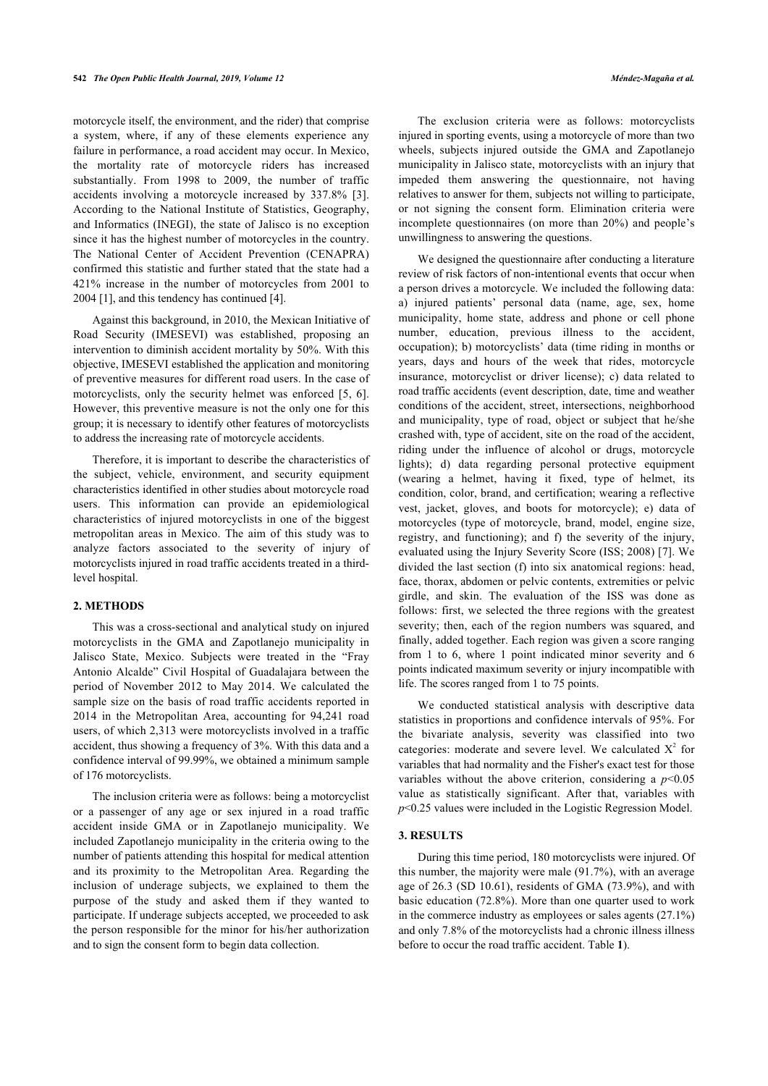motorcycle itself, the environment, and the rider) that comprise a system, where, if any of these elements experience any failure in performance, a road accident may occur. In Mexico, the mortality rate of motorcycle riders has increased substantially. From 1998 to 2009, the number of traffic accidents involving a motorcycle increased by 337.8% [\[3\]](#page-7-2). According to the National Institute of Statistics, Geography, and Informatics (INEGI), the state of Jalisco is no exception since it has the highest number of motorcycles in the country. The National Center of Accident Prevention (CENAPRA) confirmed this statistic and further stated that the state had a 421% increase in the number of motorcycles from 2001 to 2004 [[1](#page-7-0)], and this tendency has continued [\[4\]](#page-7-3).

Against this background, in 2010, the Mexican Initiative of Road Security (IMESEVI) was established, proposing an intervention to diminish accident mortality by 50%. With this objective, IMESEVI established the application and monitoring of preventive measures for different road users. In the case of motorcyclists, only the security helmet was enforced[[5](#page-7-4), [6\]](#page-7-5). However, this preventive measure is not the only one for this group; it is necessary to identify other features of motorcyclists to address the increasing rate of motorcycle accidents.

Therefore, it is important to describe the characteristics of the subject, vehicle, environment, and security equipment characteristics identified in other studies about motorcycle road users. This information can provide an epidemiological characteristics of injured motorcyclists in one of the biggest metropolitan areas in Mexico. The aim of this study was to analyze factors associated to the severity of injury of motorcyclists injured in road traffic accidents treated in a thirdlevel hospital.

#### **2. METHODS**

This was a cross-sectional and analytical study on injured motorcyclists in the GMA and Zapotlanejo municipality in Jalisco State, Mexico. Subjects were treated in the "Fray Antonio Alcalde" Civil Hospital of Guadalajara between the period of November 2012 to May 2014. We calculated the sample size on the basis of road traffic accidents reported in 2014 in the Metropolitan Area, accounting for 94,241 road users, of which 2,313 were motorcyclists involved in a traffic accident, thus showing a frequency of 3%. With this data and a confidence interval of 99.99%, we obtained a minimum sample of 176 motorcyclists.

<span id="page-1-0"></span>The inclusion criteria were as follows: being a motorcyclist or a passenger of any age or sex injured in a road traffic accident inside GMA or in Zapotlanejo municipality. We included Zapotlanejo municipality in the criteria owing to the number of patients attending this hospital for medical attention and its proximity to the Metropolitan Area. Regarding the inclusion of underage subjects, we explained to them the purpose of the study and asked them if they wanted to participate. If underage subjects accepted, we proceeded to ask the person responsible for the minor for his/her authorization and to sign the consent form to begin data collection.

The exclusion criteria were as follows: motorcyclists injured in sporting events, using a motorcycle of more than two wheels, subjects injured outside the GMA and Zapotlanejo municipality in Jalisco state, motorcyclists with an injury that impeded them answering the questionnaire, not having relatives to answer for them, subjects not willing to participate, or not signing the consent form. Elimination criteria were incomplete questionnaires (on more than 20%) and people's unwillingness to answering the questions.

We designed the questionnaire after conducting a literature review of risk factors of non-intentional events that occur when a person drives a motorcycle. We included the following data: a) injured patients' personal data (name, age, sex, home municipality, home state, address and phone or cell phone number, education, previous illness to the accident, occupation); b) motorcyclists' data (time riding in months or years, days and hours of the week that rides, motorcycle insurance, motorcyclist or driver license); c) data related to road traffic accidents (event description, date, time and weather conditions of the accident, street, intersections, neighborhood and municipality, type of road, object or subject that he/she crashed with, type of accident, site on the road of the accident, riding under the influence of alcohol or drugs, motorcycle lights); d) data regarding personal protective equipment (wearing a helmet, having it fixed, type of helmet, its condition, color, brand, and certification; wearing a reflective vest, jacket, gloves, and boots for motorcycle); e) data of motorcycles (type of motorcycle, brand, model, engine size, registry, and functioning); and f) the severity of the injury, evaluated using the Injury Severity Score (ISS; 2008) [\[7](#page-7-6)]. We divided the last section (f) into six anatomical regions: head, face, thorax, abdomen or pelvic contents, extremities or pelvic girdle, and skin. The evaluation of the ISS was done as follows: first, we selected the three regions with the greatest severity; then, each of the region numbers was squared, and finally, added together. Each region was given a score ranging from 1 to 6, where 1 point indicated minor severity and 6 points indicated maximum severity or injury incompatible with life. The scores ranged from 1 to 75 points.

We conducted statistical analysis with descriptive data statistics in proportions and confidence intervals of 95%. For the bivariate analysis, severity was classified into two categories: moderate and severe level. We calculated  $X^2$  for variables that had normality and the Fisher's exact test for those variables without the above criterion, considering a  $p<0.05$ value as statistically significant. After that, variables with *p*<0.25 values were included in the Logistic Regression Model.

#### **3. RESULTS**

During this time period, 180 motorcyclists were injured. Of this number, the majority were male (91.7%), with an average age of 26.3 (SD 10.61), residents of GMA (73.9%), and with basic education (72.8%). More than one quarter used to work in the commerce industry as employees or sales agents (27.1%) and only 7.8% of the motorcyclists had a chronic illness illness before to occur the road traffic accident. Table **[1](#page-1-0)**).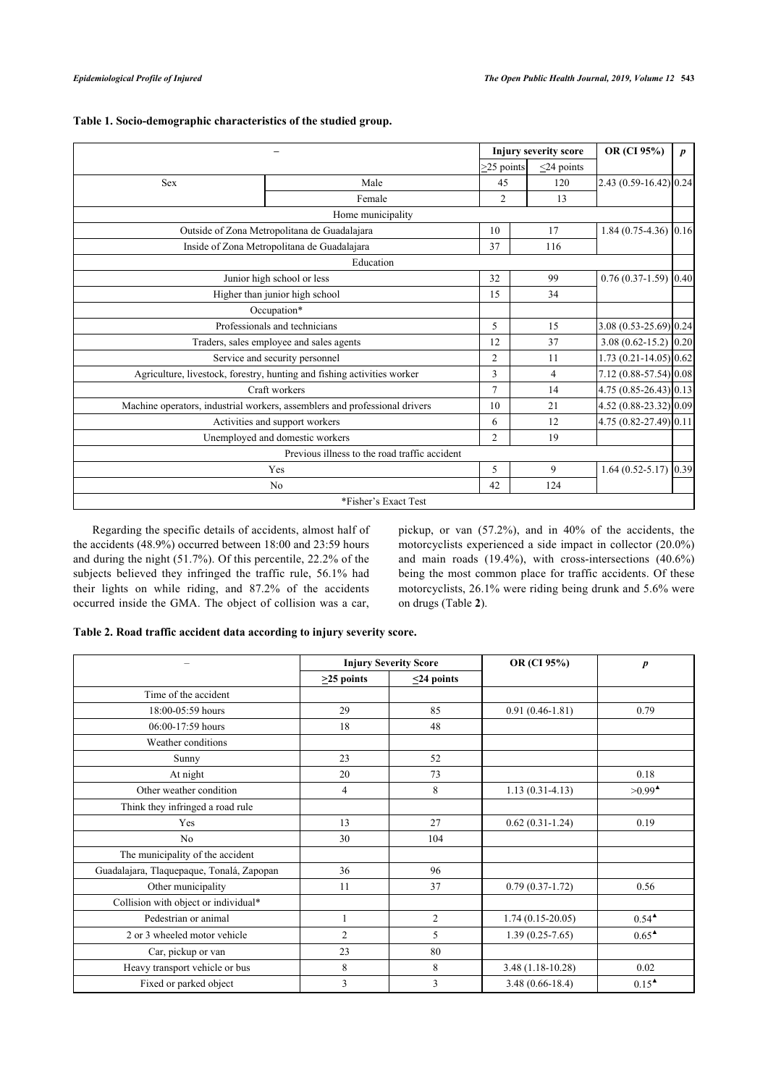|                                 |                                                                            |                  | <b>Injury severity score</b> | OR (CI 95%)                 | $\boldsymbol{p}$ |
|---------------------------------|----------------------------------------------------------------------------|------------------|------------------------------|-----------------------------|------------------|
|                                 |                                                                            | $\geq$ 25 points | $<$ 24 points                |                             |                  |
| <b>Sex</b>                      | Male                                                                       | 45               | 120                          | $[2.43 (0.59 - 16.42)]0.24$ |                  |
|                                 | Female                                                                     | $\overline{2}$   | 13                           |                             |                  |
|                                 | Home municipality                                                          |                  |                              |                             |                  |
|                                 | Outside of Zona Metropolitana de Guadalajara                               | 10               | 17                           | $1.84(0.75-4.36)$ 0.16      |                  |
|                                 | Inside of Zona Metropolitana de Guadalajara                                | 37               | 116                          |                             |                  |
|                                 | Education                                                                  |                  |                              |                             |                  |
|                                 | Junior high school or less                                                 | 32               | 99                           | $0.76(0.37-1.59)$ 0.40      |                  |
|                                 | Higher than junior high school                                             | 15               | 34                           |                             |                  |
|                                 | Occupation*                                                                |                  |                              |                             |                  |
|                                 | Professionals and technicians                                              | 5                | 15                           | 3.08 (0.53-25.69) 0.24      |                  |
|                                 | Traders, sales employee and sales agents                                   | 12               | 37                           | $3.08(0.62 - 15.2)$ 0.20    |                  |
|                                 | Service and security personnel                                             | 2                | 11                           | $1.73(0.21 - 14.05)0.62$    |                  |
|                                 | Agriculture, livestock, forestry, hunting and fishing activities worker    | 3                | $\overline{4}$               | 7.12 (0.88-57.54) 0.08      |                  |
|                                 | Craft workers                                                              | $\tau$           | 14                           | $4.75(0.85-26.43)$ 0.13     |                  |
|                                 | Machine operators, industrial workers, assemblers and professional drivers | 10               | 21                           | 4.52 (0.88-23.32) 0.09      |                  |
|                                 | Activities and support workers                                             |                  | 12                           | 4.75 (0.82-27.49) 0.11      |                  |
| Unemployed and domestic workers |                                                                            | $\overline{2}$   | 19                           |                             |                  |
|                                 | Previous illness to the road traffic accident                              |                  |                              |                             |                  |
|                                 | Yes                                                                        | 5                | 9                            | $1.64(0.52 - 5.17)$         | 0.39             |
|                                 | N <sub>0</sub>                                                             | 42               | 124                          |                             |                  |
|                                 | *Fisher's Exact Test                                                       |                  |                              |                             |                  |

# **Table 1. Socio-demographic characteristics of the studied group.**

Regarding the specific details of accidents, almost half of the accidents (48.9%) occurred between 18:00 and 23:59 hours and during the night (51.7%). Of this percentile, 22.2% of the subjects believed they infringed the traffic rule, 56.1% had their lights on while riding, and 87.2% of the accidents occurred inside the GMA. The object of collision was a car, pickup, or van (57.2%), and in 40% of the accidents, the motorcyclists experienced a side impact in collector (20.0%) and main roads (19.4%), with cross-intersections (40.6%) being the most common place for traffic accidents. Of these motorcyclists, 26.1% were riding being drunk and 5.6% were on drugs (Table **[2](#page-2-0)**).

#### <span id="page-2-0"></span>**Table 2. Road traffic accident data according to injury severity score.**

|                                           |                  | <b>Injury Severity Score</b> |                     | $\boldsymbol{p}$                   |  |
|-------------------------------------------|------------------|------------------------------|---------------------|------------------------------------|--|
|                                           | $\geq$ 25 points | $\leq$ 24 points             |                     |                                    |  |
| Time of the accident                      |                  |                              |                     |                                    |  |
| 18:00-05:59 hours                         | 29               | 85                           | $0.91(0.46 - 1.81)$ | 0.79                               |  |
| 06:00-17:59 hours                         | 18               | 48                           |                     |                                    |  |
| Weather conditions                        |                  |                              |                     |                                    |  |
| Sunny                                     | 23               | 52                           |                     |                                    |  |
| At night                                  | 20               | 73                           |                     | 0.18                               |  |
| Other weather condition                   | $\overline{4}$   | 8                            | $1.13(0.31-4.13)$   | $>0.99^{\triangle}$                |  |
| Think they infringed a road rule          |                  |                              |                     |                                    |  |
| Yes                                       | 13               | 27                           | $0.62(0.31-1.24)$   | 0.19                               |  |
| N <sub>0</sub>                            | 30               | 104                          |                     |                                    |  |
| The municipality of the accident          |                  |                              |                     |                                    |  |
| Guadalajara, Tlaquepaque, Tonalá, Zapopan | 36               | 96                           |                     |                                    |  |
| Other municipality                        | 11               | 37                           | $0.79(0.37-1.72)$   | 0.56                               |  |
| Collision with object or individual*      |                  |                              |                     |                                    |  |
| Pedestrian or animal                      | $\mathbf{1}$     | 2                            | $1.74(0.15-20.05)$  | $0.54^{\textstyle \blacktriangle}$ |  |
| 2 or 3 wheeled motor vehicle              | $\overline{c}$   | 5                            | $1.39(0.25-7.65)$   | $0.65^{\textstyle \bullet}$        |  |
| Car, pickup or van                        | 23               | 80                           |                     |                                    |  |
| Heavy transport vehicle or bus            | 8                | 8                            | $3.48(1.18-10.28)$  | 0.02                               |  |
| Fixed or parked object                    | 3                | 3                            | $3.48(0.66 - 18.4)$ | $0.15^{\text{A}}$                  |  |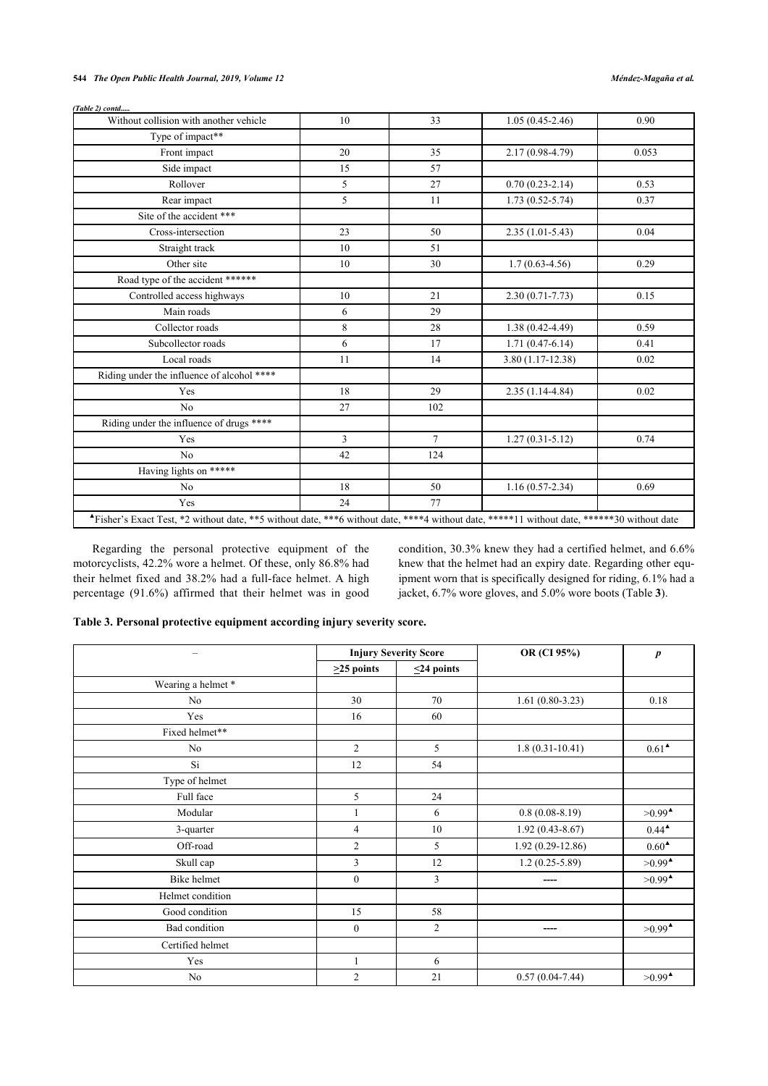### **544** *The Open Public Health Journal, 2019, Volume 12 Méndez-Magaña et al.*

| (Table 2) contd                                                                                                                            |    |        |                     |       |
|--------------------------------------------------------------------------------------------------------------------------------------------|----|--------|---------------------|-------|
| Without collision with another vehicle                                                                                                     | 10 | 33     | $1.05(0.45-2.46)$   | 0.90  |
| Type of impact**                                                                                                                           |    |        |                     |       |
| Front impact                                                                                                                               | 20 | 35     | 2.17 (0.98-4.79)    | 0.053 |
| Side impact                                                                                                                                | 15 | 57     |                     |       |
| Rollover                                                                                                                                   | 5  | 27     | $0.70(0.23-2.14)$   | 0.53  |
| Rear impact                                                                                                                                | 5  | 11     | $1.73(0.52 - 5.74)$ | 0.37  |
| Site of the accident ***                                                                                                                   |    |        |                     |       |
| Cross-intersection                                                                                                                         | 23 | 50     | $2.35(1.01-5.43)$   | 0.04  |
| Straight track                                                                                                                             | 10 | 51     |                     |       |
| Other site                                                                                                                                 | 10 | 30     | $1.7(0.63-4.56)$    | 0.29  |
| Road type of the accident ******                                                                                                           |    |        |                     |       |
| Controlled access highways                                                                                                                 | 10 | 21     | $2.30(0.71 - 7.73)$ | 0.15  |
| Main roads                                                                                                                                 | 6  | 29     |                     |       |
| Collector roads                                                                                                                            | 8  | 28     | $1.38(0.42 - 4.49)$ | 0.59  |
| Subcollector roads                                                                                                                         | 6  | 17     | $1.71(0.47-6.14)$   | 0.41  |
| Local roads                                                                                                                                | 11 | 14     | $3.80(1.17-12.38)$  | 0.02  |
| Riding under the influence of alcohol ****                                                                                                 |    |        |                     |       |
| Yes                                                                                                                                        | 18 | 29     | $2.35(1.14-4.84)$   | 0.02  |
| N <sub>o</sub>                                                                                                                             | 27 | 102    |                     |       |
| Riding under the influence of drugs ****                                                                                                   |    |        |                     |       |
| Yes                                                                                                                                        | 3  | $\tau$ | $1.27(0.31 - 5.12)$ | 0.74  |
| No                                                                                                                                         | 42 | 124    |                     |       |
| Having lights on *****                                                                                                                     |    |        |                     |       |
| No                                                                                                                                         | 18 | 50     | $1.16(0.57-2.34)$   | 0.69  |
| Yes                                                                                                                                        | 24 | 77     |                     |       |
| *Fisher's Exact Test, *2 without date, **5 without date, ***6 without date, ****4 without date, *****11 without date, *****30 without date |    |        |                     |       |

Regarding the personal protective equipment of the motorcyclists, 42.2% wore a helmet. Of these, only 86.8% had their helmet fixed and 38.2% had a full-face helmet. A high percentage (91.6%) affirmed that their helmet was in good condition, 30.3% knew they had a certified helmet, and 6.6% knew that the helmet had an expiry date. Regarding other equipment worn that is specifically designed for riding, 6.1% had a jacket, 6.7% wore gloves, and 5.0% wore boots (Table **[3](#page-3-0)**).

### <span id="page-3-0"></span>**Table 3. Personal protective equipment according injury severity score.**

| -                 |                  | <b>Injury Severity Score</b> | OR (CI 95%)         | $\boldsymbol{p}$                          |  |
|-------------------|------------------|------------------------------|---------------------|-------------------------------------------|--|
|                   | $\geq$ 25 points | $\leq$ 24 points             |                     |                                           |  |
| Wearing a helmet* |                  |                              |                     |                                           |  |
| No                | 30               | 70                           | $1.61(0.80-3.23)$   | 0.18                                      |  |
| Yes               | 16               | 60                           |                     |                                           |  |
| Fixed helmet**    |                  |                              |                     |                                           |  |
| No                | $\overline{c}$   | 5                            | $1.8(0.31-10.41)$   | $0.61^{\triangle}$                        |  |
| Si                | 12               | 54                           |                     |                                           |  |
| Type of helmet    |                  |                              |                     |                                           |  |
| Full face         | 5                | 24                           |                     |                                           |  |
| Modular           |                  | 6                            | $0.8(0.08-8.19)$    | $>0.99^{\triangle}$                       |  |
| 3-quarter         | 4                | 10                           | $1.92(0.43 - 8.67)$ | $0.44^{\triangle}$                        |  |
| Off-road          | $\overline{c}$   | 5                            | 1.92 (0.29-12.86)   | $0.60^{\text{A}}$                         |  |
| Skull cap         | 3                | 12                           | $1.2(0.25-5.89)$    | $>0.99^{\triangle}$                       |  |
| Bike helmet       | $\boldsymbol{0}$ | 3                            | ----                | $>0.99$ <sup><math>\triangle</math></sup> |  |
| Helmet condition  |                  |                              |                     |                                           |  |
| Good condition    | 15               | 58                           |                     |                                           |  |
| Bad condition     | $\boldsymbol{0}$ | $\overline{2}$               | ----                | $>0.99^{\triangle}$                       |  |
| Certified helmet  |                  |                              |                     |                                           |  |
| Yes               |                  | 6                            |                     |                                           |  |
| No                | $\overline{c}$   | 21                           | $0.57(0.04-7.44)$   | $>0.99$ <sup><math>\triangle</math></sup> |  |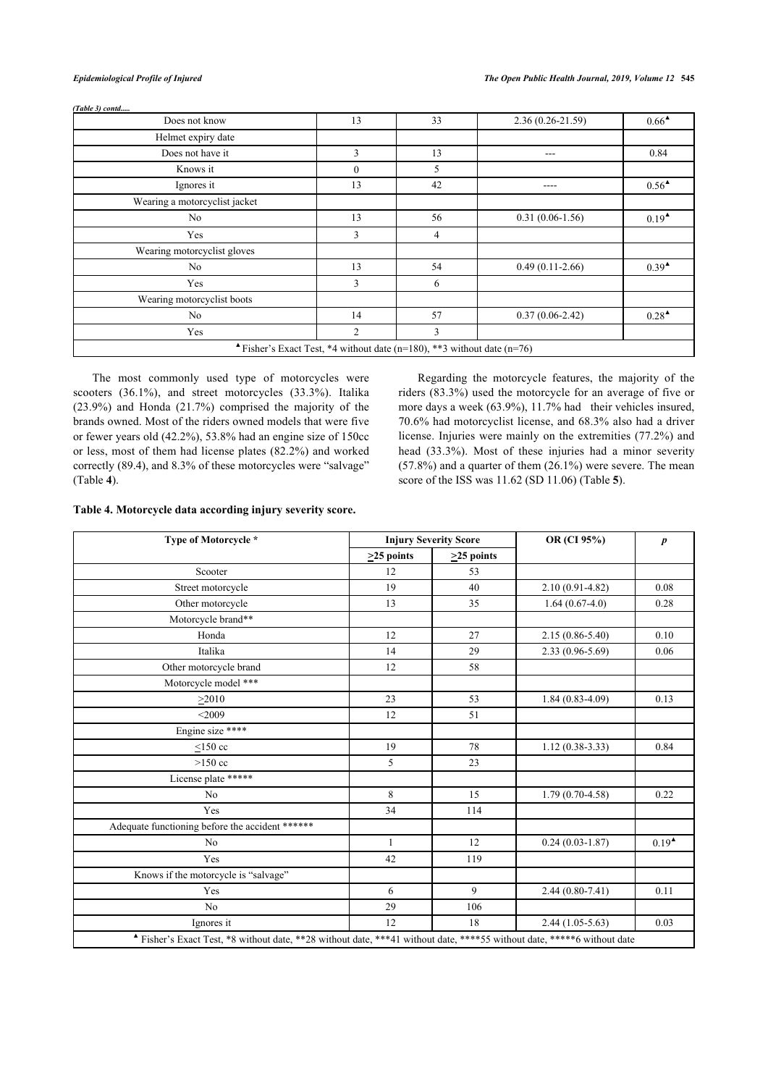*(Table 3) contd.....*

| Does not know                                                         | 13           | 33             | $2.36(0.26 - 21.59)$ | $0.66^{\triangle}$                 |  |  |
|-----------------------------------------------------------------------|--------------|----------------|----------------------|------------------------------------|--|--|
| Helmet expiry date                                                    |              |                |                      |                                    |  |  |
| Does not have it                                                      | 3            | 13             | ---                  | 0.84                               |  |  |
| Knows it                                                              | $\mathbf{0}$ | 5              |                      |                                    |  |  |
| Ignores it                                                            | 13           | 42             | ----                 | $0.56^{\textstyle \blacktriangle}$ |  |  |
| Wearing a motorcyclist jacket                                         |              |                |                      |                                    |  |  |
| No                                                                    | 13           | 56             | $0.31(0.06-1.56)$    | $0.19^{\triangle}$                 |  |  |
| Yes                                                                   | 3            | $\overline{4}$ |                      |                                    |  |  |
| Wearing motorcyclist gloves                                           |              |                |                      |                                    |  |  |
| No                                                                    | 13           | 54             | $0.49(0.11-2.66)$    | $0.39^{\triangle}$                 |  |  |
| Yes                                                                   | 3            | 6              |                      |                                    |  |  |
| Wearing motorcyclist boots                                            |              |                |                      |                                    |  |  |
| No                                                                    | 14           | 57             | $0.37(0.06-2.42)$    | $0.28^{\triangle}$                 |  |  |
| Yes                                                                   | 2            | 3              |                      |                                    |  |  |
| Fisher's Exact Test, *4 without date (n=180), **3 without date (n=76) |              |                |                      |                                    |  |  |

The most commonly used type of motorcycles were scooters (36.1%), and street motorcycles (33.3%). Italika (23.9%) and Honda (21.7%) comprised the majority of the brands owned. Most of the riders owned models that were five or fewer years old (42.2%), 53.8% had an engine size of 150cc or less, most of them had license plates (82.2%) and worked correctly (89.4), and 8.3% of these motorcycles were "salvage" (Table **[4](#page-4-0)**).

Regarding the motorcycle features, the majority of the riders (83.3%) used the motorcycle for an average of five or more days a week (63.9%), 11.7% had their vehicles insured, 70.6% had motorcyclist license, and 68.3% also had a driver license. Injuries were mainly on the extremities (77.2%) and head (33.3%). Most of these injuries had a minor severity (57.8%) and a quarter of them (26.1%) were severe. The mean score of the ISS was 11.62 (SD 11.06) (Table **[5](#page-4-1)**).

#### <span id="page-4-0"></span>**Table 4. Motorcycle data according injury severity score.**

<span id="page-4-1"></span>

| Type of Motorcycle *                            |                                                                                                                       | <b>Injury Severity Score</b> | OR (CI 95%)         | $\boldsymbol{p}$  |  |  |  |  |
|-------------------------------------------------|-----------------------------------------------------------------------------------------------------------------------|------------------------------|---------------------|-------------------|--|--|--|--|
|                                                 | $\geq$ 25 points                                                                                                      | $\geq$ 25 points             |                     |                   |  |  |  |  |
| Scooter                                         | 12                                                                                                                    | 53                           |                     |                   |  |  |  |  |
| Street motorcycle                               | 19                                                                                                                    | 40                           | $2.10(0.91 - 4.82)$ | 0.08              |  |  |  |  |
| Other motorcycle                                | 13                                                                                                                    | 35                           | $1.64(0.67-4.0)$    | 0.28              |  |  |  |  |
| Motorcycle brand**                              |                                                                                                                       |                              |                     |                   |  |  |  |  |
| Honda                                           | 12                                                                                                                    | 27                           | $2.15(0.86 - 5.40)$ | 0.10              |  |  |  |  |
| Italika                                         | 14                                                                                                                    | 29                           | $2.33(0.96 - 5.69)$ | 0.06              |  |  |  |  |
| Other motorcycle brand                          | 12                                                                                                                    | 58                           |                     |                   |  |  |  |  |
| Motorcycle model ***                            |                                                                                                                       |                              |                     |                   |  |  |  |  |
| >2010                                           | 23                                                                                                                    | 53                           | $1.84(0.83 - 4.09)$ | 0.13              |  |  |  |  |
| < 2009                                          | 12                                                                                                                    | 51                           |                     |                   |  |  |  |  |
| Engine size ****                                |                                                                                                                       |                              |                     |                   |  |  |  |  |
| $<$ 150 cc                                      | 19                                                                                                                    | 78                           | $1.12(0.38-3.33)$   | 0.84              |  |  |  |  |
| $>150$ cc                                       | 5                                                                                                                     | 23                           |                     |                   |  |  |  |  |
| License plate *****                             |                                                                                                                       |                              |                     |                   |  |  |  |  |
| N <sub>0</sub>                                  | 8                                                                                                                     | 15                           | $1.79(0.70-4.58)$   | 0.22              |  |  |  |  |
| Yes                                             | 34                                                                                                                    | 114                          |                     |                   |  |  |  |  |
| Adequate functioning before the accident ****** |                                                                                                                       |                              |                     |                   |  |  |  |  |
| N <sub>o</sub>                                  | $\mathbf{1}$                                                                                                          | 12                           | $0.24(0.03-1.87)$   | $0.19^{\text{A}}$ |  |  |  |  |
| Yes                                             | 42                                                                                                                    | 119                          |                     |                   |  |  |  |  |
| Knows if the motorcycle is "salvage"            |                                                                                                                       |                              |                     |                   |  |  |  |  |
| Yes                                             | 6                                                                                                                     | 9                            | $2.44(0.80-7.41)$   | 0.11              |  |  |  |  |
| No                                              | 29                                                                                                                    | 106                          |                     |                   |  |  |  |  |
| Ignores it                                      | 12                                                                                                                    | 18                           | $2.44(1.05-5.63)$   | 0.03              |  |  |  |  |
|                                                 | Fisher's Exact Test, *8 without date, **28 without date, ***41 without date, ****55 without date, *****6 without date |                              |                     |                   |  |  |  |  |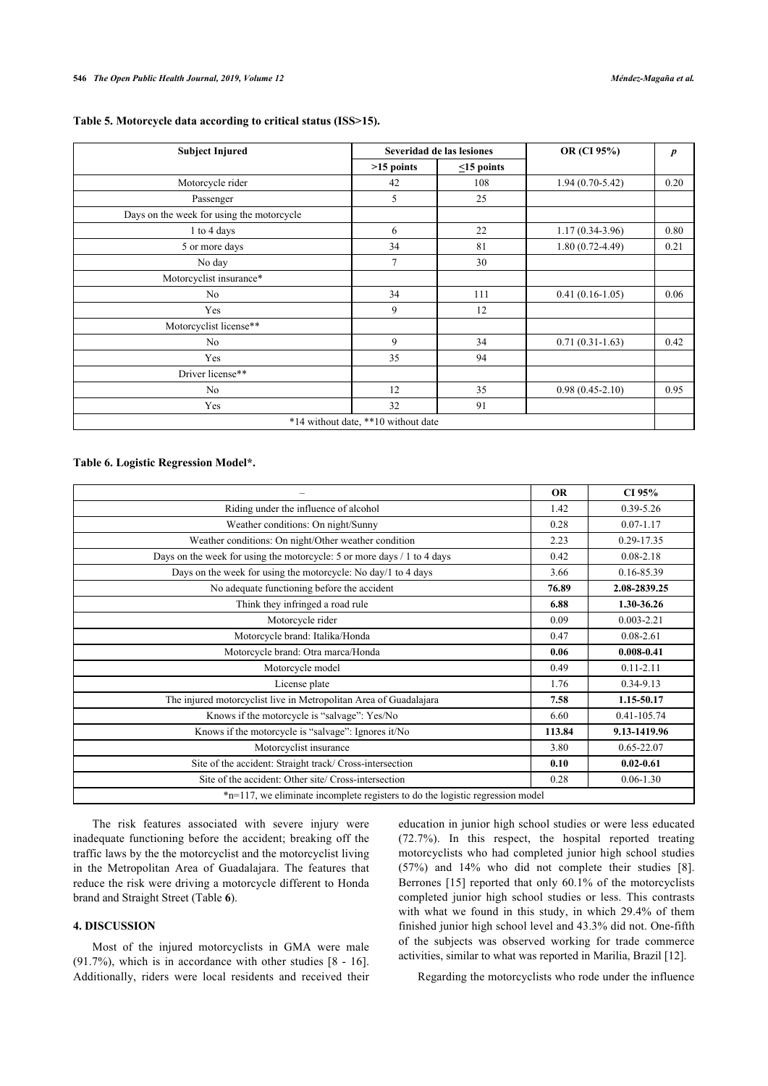|  |  | Table 5. Motorcycle data according to critical status (ISS>15). |  |  |
|--|--|-----------------------------------------------------------------|--|--|
|  |  |                                                                 |  |  |

| <b>Subject Injured</b>                    |                                     | Severidad de las lesiones | OR (CI 95%)         | $\boldsymbol{p}$ |
|-------------------------------------------|-------------------------------------|---------------------------|---------------------|------------------|
|                                           | $>15$ points                        | $\leq$ 15 points          |                     |                  |
| Motorcycle rider                          | 42                                  | 108                       | $1.94(0.70-5.42)$   | 0.20             |
| Passenger                                 | 5                                   | 25                        |                     |                  |
| Days on the week for using the motorcycle |                                     |                           |                     |                  |
| 1 to 4 days                               | 6                                   | 22                        | $1.17(0.34-3.96)$   | 0.80             |
| 5 or more days                            | 34                                  | 81                        | $1.80(0.72 - 4.49)$ | 0.21             |
| No day                                    | $\overline{7}$                      | 30                        |                     |                  |
| Motorcyclist insurance*                   |                                     |                           |                     |                  |
| No                                        | 34                                  | 111                       | $0.41(0.16 - 1.05)$ | 0.06             |
| Yes                                       | 9                                   | 12                        |                     |                  |
| Motorcyclist license**                    |                                     |                           |                     |                  |
| No                                        | 9                                   | 34                        | $0.71(0.31-1.63)$   | 0.42             |
| Yes                                       | 35                                  | 94                        |                     |                  |
| Driver license**                          |                                     |                           |                     |                  |
| No                                        | 12                                  | 35                        | $0.98(0.45-2.10)$   | 0.95             |
| Yes                                       | 32                                  | 91                        |                     |                  |
|                                           | *14 without date, **10 without date |                           |                     |                  |

# <span id="page-5-0"></span>**Table 6. Logistic Regression Model\*.**

|                                                                               | <b>OR</b> | CI 95%         |  |  |
|-------------------------------------------------------------------------------|-----------|----------------|--|--|
| Riding under the influence of alcohol                                         | 1.42      | $0.39 - 5.26$  |  |  |
| Weather conditions: On night/Sunny                                            | 0.28      | $0.07 - 1.17$  |  |  |
| Weather conditions: On night/Other weather condition                          | 2.23      | 0.29-17.35     |  |  |
| Days on the week for using the motorcycle: 5 or more days / 1 to 4 days       | 0.42      | $0.08 - 2.18$  |  |  |
| Days on the week for using the motorcycle: No day/1 to 4 days                 | 3.66      | 0.16-85.39     |  |  |
| No adequate functioning before the accident                                   | 76.89     | 2.08-2839.25   |  |  |
| Think they infringed a road rule                                              | 6.88      | 1.30-36.26     |  |  |
| Motorcycle rider                                                              | 0.09      | $0.003 - 2.21$ |  |  |
| Motorcycle brand: Italika/Honda                                               | 0.47      | $0.08 - 2.61$  |  |  |
| Motorcycle brand: Otra marca/Honda                                            | 0.06      | $0.008 - 0.41$ |  |  |
| Motorcycle model                                                              | 0.49      | $0.11 - 2.11$  |  |  |
| License plate                                                                 | 1.76      | 0.34-9.13      |  |  |
| The injured motorcyclist live in Metropolitan Area of Guadalajara             | 7.58      | 1.15-50.17     |  |  |
| Knows if the motorcycle is "salvage": Yes/No                                  | 6.60      | 0.41-105.74    |  |  |
| Knows if the motorcycle is "salvage": Ignores it/No                           | 113.84    | 9.13-1419.96   |  |  |
| Motorcyclist insurance                                                        | 3.80      | $0.65 - 22.07$ |  |  |
| Site of the accident: Straight track/ Cross-intersection                      | 0.10      | $0.02 - 0.61$  |  |  |
| Site of the accident: Other site/ Cross-intersection                          | 0.28      | $0.06 - 1.30$  |  |  |
| *n=117, we eliminate incomplete registers to do the logistic regression model |           |                |  |  |

The risk features associated with severe injury were inadequate functioning before the accident; breaking off the traffic laws by the the motorcyclist and the motorcyclist living in the Metropolitan Area of Guadalajara. The features that reduce the risk were driving a motorcycle different to Honda brand and Straight Street (Table **[6](#page-5-0)**).

# **4. DISCUSSION**

Most of the injured motorcyclists in GMA were male (91.7%), which is in accordance with other studies [\[8](#page-7-7) - [16\]](#page-7-8). Additionally, riders were local residents and received their education in junior high school studies or were less educated (72.7%). In this respect, the hospital reported treating motorcyclists who had completed junior high school studies (57%) and 14% who did not complete their studies[[8](#page-7-7)]. Berrones [[15\]](#page-7-9) reported that only 60.1% of the motorcyclists completed junior high school studies or less. This contrasts with what we found in this study, in which 29.4% of them finished junior high school level and 43.3% did not. One-fifth of the subjects was observed working for trade commerce activities, similar to what was reported in Marilia, Brazil [\[12](#page-7-10)].

Regarding the motorcyclists who rode under the influence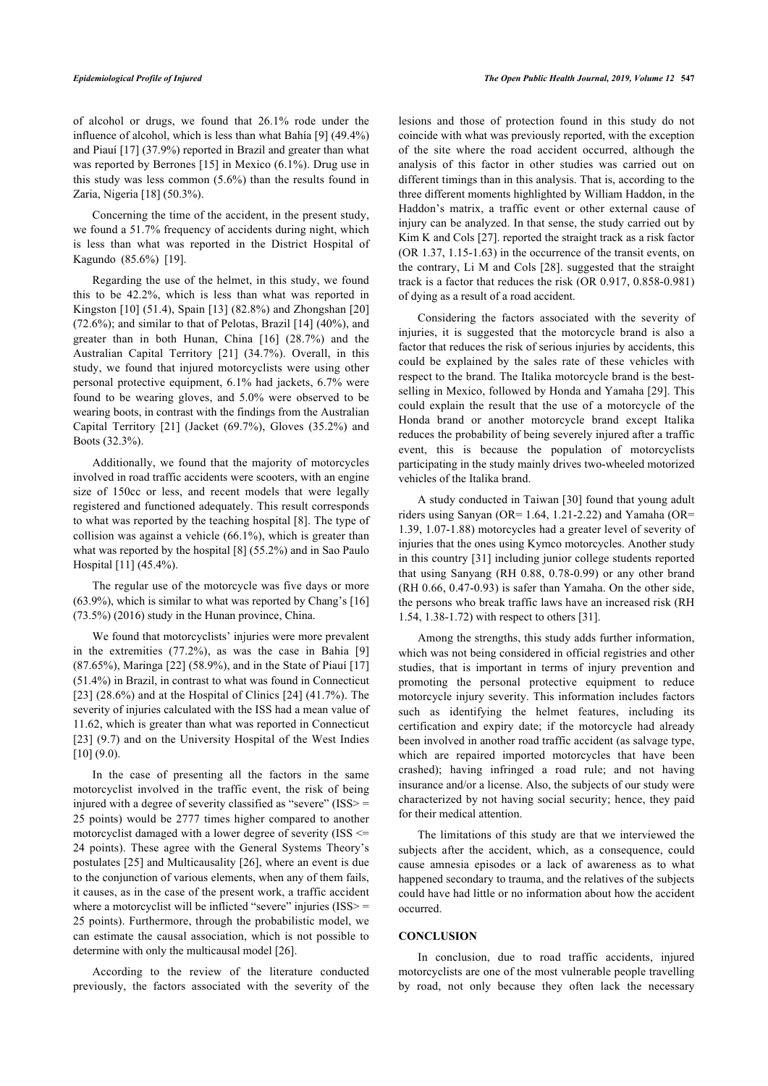of alcohol or drugs, we found that 26.1% rode under the influence of alcohol, which is less than what Bahía [[9\]](#page-7-11) (49.4%) and Piauí [[17\]](#page-7-12) (37.9%) reported in Brazil and greater than what was reported by Berrones [\[15\]](#page-7-9) in Mexico (6.1%). Drug use in this study was less common (5.6%) than the results found in Zaria, Nigeria [\[18](#page-7-13)] (50.3%).

Concerning the time of the accident, in the present study, we found a 51.7% frequency of accidents during night, which is less than what was reported in the District Hospital of Kagundo (85.6%) [\[19](#page-7-14)].

Regarding the use of the helmet, in this study, we found this to be 42.2%, which is less than what was reported in Kingston [[10](#page-7-15)] (51.4), Spain [[13\]](#page-7-16) (82.8%) and Zhongshan [\[20](#page-7-17)]  $(72.6\%)$ ; and similar to that of Pelotas, Brazil [[14\]](#page-7-18)  $(40\%)$ , and greater than in both Hunan, China [\[16\]](#page-7-8) (28.7%) and the Australian Capital Territory [\[21\]](#page-7-19) (34.7%). Overall, in this study, we found that injured motorcyclists were using other personal protective equipment, 6.1% had jackets, 6.7% were found to be wearing gloves, and 5.0% were observed to be wearing boots, in contrast with the findings from the Australian Capital Territory [\[21\]](#page-7-19) (Jacket (69.7%), Gloves (35.2%) and Boots (32.3%).

Additionally, we found that the majority of motorcycles involved in road traffic accidents were scooters, with an engine size of 150cc or less, and recent models that were legally registered and functioned adequately. This result corresponds to what was reported by the teaching hospital [[8\]](#page-7-7). The type of collision was against a vehicle (66.1%), which is greater than what was reported by the hospital [[8](#page-7-7)] (55.2%) and in Sao Paulo Hospital [\[11](#page-7-20)] (45.4%).

The regular use of the motorcycle was five days or more (63.9%), which is similar to what was reported by Chang's [\[16](#page-7-8)] (73.5%) (2016) study in the Hunan province, China.

We found that motorcyclists' injuries were more prevalent in the extremities (77.2%), as was the case in Bahia[[9](#page-7-11)] (87.65%), Maringa [[22\]](#page-7-21) (58.9%), and in the State of Piauí [\[17](#page-7-12)] (51.4%) in Brazil, in contrast to what was found in Connecticut [[23\]](#page-7-22) (28.6%) and at the Hospital of Clinics [\[24\]](#page-7-23) (41.7%). The severity of injuries calculated with the ISS had a mean value of 11.62, which is greater than what was reported in Connecticut [[23\]](#page-7-22) (9.7) and on the University Hospital of the West Indies  $[10] (9.0).$  $[10] (9.0).$  $[10] (9.0).$ 

In the case of presenting all the factors in the same motorcyclist involved in the traffic event, the risk of being injured with a degree of severity classified as "severe" (ISS> = 25 points) would be 2777 times higher compared to another motorcyclist damaged with a lower degree of severity (ISS <= 24 points). These agree with the General Systems Theory's postulates [\[25](#page-7-24)] and Multicausality [[26\]](#page-7-25), where an event is due to the conjunction of various elements, when any of them fails, it causes, as in the case of the present work, a traffic accident where a motorcyclist will be inflicted "severe" injuries (ISS> = 25 points). Furthermore, through the probabilistic model, we can estimate the causal association, which is not possible to determine with only the multicausal model [\[26](#page-7-25)].

According to the review of the literature conducted previously, the factors associated with the severity of the lesions and those of protection found in this study do not coincide with what was previously reported, with the exception of the site where the road accident occurred, although the analysis of this factor in other studies was carried out on different timings than in this analysis. That is, according to the three different moments highlighted by William Haddon, in the Haddon's matrix, a traffic event or other external cause of injury can be analyzed. In that sense, the study carried out by Kim K and Cols [\[27](#page-7-26)]. reported the straight track as a risk factor (OR 1.37, 1.15-1.63) in the occurrence of the transit events, on the contrary, Li M and Cols [[28](#page-8-0)]. suggested that the straight track is a factor that reduces the risk (OR 0.917, 0.858-0.981) of dying as a result of a road accident.

Considering the factors associated with the severity of injuries, it is suggested that the motorcycle brand is also a factor that reduces the risk of serious injuries by accidents, this could be explained by the sales rate of these vehicles with respect to the brand. The Italika motorcycle brand is the bestselling in Mexico, followed by Honda and Yamaha [[29](#page-8-1)]. This could explain the result that the use of a motorcycle of the Honda brand or another motorcycle brand except Italika reduces the probability of being severely injured after a traffic event, this is because the population of motorcyclists participating in the study mainly drives two-wheeled motorized vehicles of the Italika brand.

A study conducted in Taiwan [\[30](#page-8-2)] found that young adult riders using Sanyan (OR=  $1.64$ ,  $1.21$ -2.22) and Yamaha (OR= 1.39, 1.07-1.88) motorcycles had a greater level of severity of injuries that the ones using Kymco motorcycles. Another study in this country [[31\]](#page-8-3) including junior college students reported that using Sanyang (RH 0.88, 0.78-0.99) or any other brand (RH 0.66, 0.47-0.93) is safer than Yamaha. On the other side, the persons who break traffic laws have an increased risk (RH 1.54, 1.38-1.72) with respect to others [\[31](#page-8-3)].

Among the strengths, this study adds further information, which was not being considered in official registries and other studies, that is important in terms of injury prevention and promoting the personal protective equipment to reduce motorcycle injury severity. This information includes factors such as identifying the helmet features, including its certification and expiry date; if the motorcycle had already been involved in another road traffic accident (as salvage type, which are repaired imported motorcycles that have been crashed); having infringed a road rule; and not having insurance and/or a license. Also, the subjects of our study were characterized by not having social security; hence, they paid for their medical attention.

The limitations of this study are that we interviewed the subjects after the accident, which, as a consequence, could cause amnesia episodes or a lack of awareness as to what happened secondary to trauma, and the relatives of the subjects could have had little or no information about how the accident occurred.

#### **CONCLUSION**

In conclusion, due to road traffic accidents, injured motorcyclists are one of the most vulnerable people travelling by road, not only because they often lack the necessary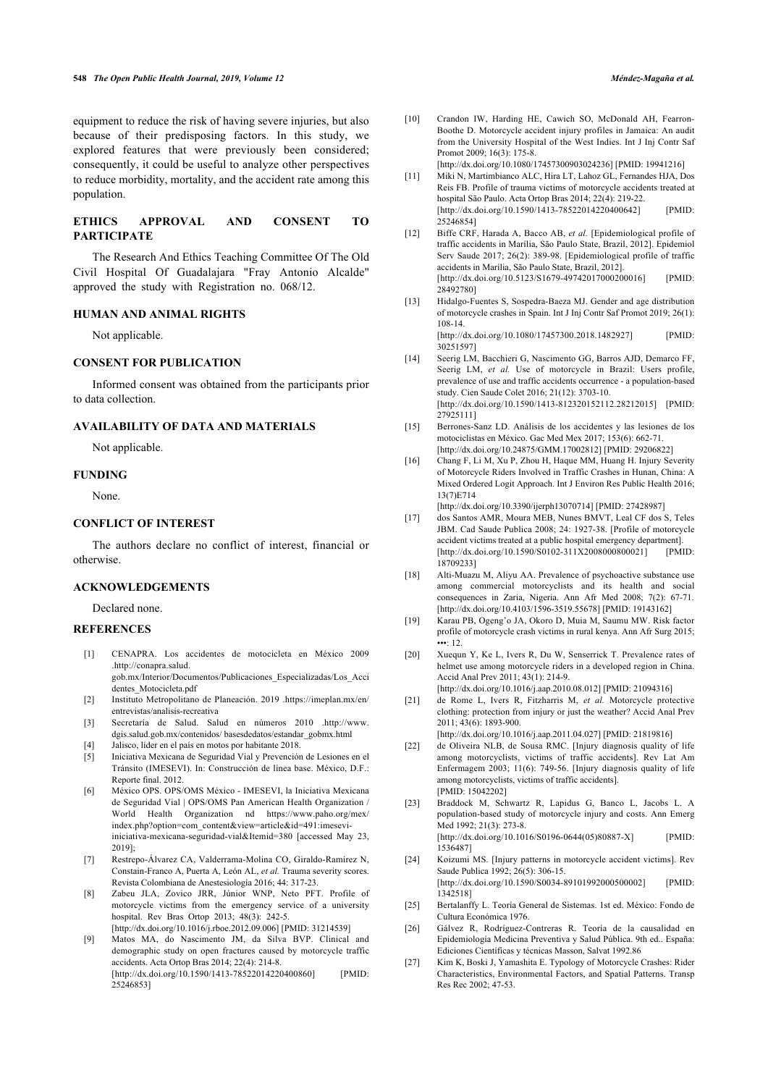<span id="page-7-15"></span>equipment to reduce the risk of having severe injuries, but also because of their predisposing factors. In this study, we explored features that were previously been considered; consequently, it could be useful to analyze other perspectives to reduce morbidity, mortality, and the accident rate among this population.

# <span id="page-7-20"></span><span id="page-7-10"></span>**ETHICS APPROVAL AND CONSENT TO PARTICIPATE**

The Research And Ethics Teaching Committee Of The Old Civil Hospital Of Guadalajara "Fray Antonio Alcalde" approved the study with Registration no. 068/12.

#### <span id="page-7-16"></span>**HUMAN AND ANIMAL RIGHTS**

Not applicable.

# <span id="page-7-18"></span>**CONSENT FOR PUBLICATION**

Informed consent was obtained from the participants prior to data collection.

#### <span id="page-7-9"></span>**AVAILABILITY OF DATA AND MATERIALS**

Not applicable.

#### <span id="page-7-8"></span>**FUNDING**

None.

#### <span id="page-7-12"></span>**CONFLICT OF INTEREST**

The authors declare no conflict of interest, financial or otherwise.

# <span id="page-7-13"></span>**ACKNOWLEDGEMENTS**

#### Declared none.

#### <span id="page-7-17"></span><span id="page-7-14"></span><span id="page-7-0"></span>**REFERENCES**

- [1] CENAPRA. Los accidentes de motocicleta en México 2009 .[http://conapra.salud.](http://conapra.salud.gob.mx/Interior/Documentos/Publicaciones_Especializadas/Los_Accidentes_Motocicleta.pdf) [gob.mx/Interior/Documentos/Publicaciones\\_Especializadas/Los\\_Acci](http://conapra.salud.gob.mx/Interior/Documentos/Publicaciones_Especializadas/Los_Accidentes_Motocicleta.pdf)
- [dentes\\_Motocicleta.pdf](http://conapra.salud.gob.mx/Interior/Documentos/Publicaciones_Especializadas/Los_Accidentes_Motocicleta.pdf)
- <span id="page-7-19"></span><span id="page-7-1"></span>[2] Instituto Metropolitano de Planeación. 2019 .[https://imeplan.mx/en/](https://imeplan.mx/en/entrevistas/analisis-recreativa) [entrevistas/analisis-recreativa](https://imeplan.mx/en/entrevistas/analisis-recreativa)
- <span id="page-7-2"></span>[3] Secretaría de Salud. Salud en números 2010.[http://www.](http://www.dgis.salud.gob.mx/contenidos/basesdedatos/estandar_gobmx.html) [dgis.salud.gob.mx/contenidos/ basesdedatos/estandar\\_gobmx.html](http://www.dgis.salud.gob.mx/contenidos/basesdedatos/estandar_gobmx.html)
- [4] Jalisco, líder en el país en motos por habitante 2018.
- <span id="page-7-21"></span><span id="page-7-4"></span><span id="page-7-3"></span>[5] Iniciativa Mexicana de Seguridad Vial y Prevención de Lesiones en el Tránsito (IMESEVI). In: Construcción de línea base. México, D.F.: Reporte final. 2012.
- <span id="page-7-22"></span><span id="page-7-5"></span>[6] México OPS. OPS/OMS México - IMESEVI, la Iniciativa Mexicana de Seguridad Vial | OPS/OMS Pan American Health Organization / World Health Organization nd [https://www.paho.org/mex/](https://www.paho.org/mex/index.php?option=com_content&view=article&id=491:imesevi-iniciativa-mexicana-seguridad-vial&Itemid=380) [index.php?option=com\\_content&view=article&id=491:imesevi](https://www.paho.org/mex/index.php?option=com_content&view=article&id=491:imesevi-iniciativa-mexicana-seguridad-vial&Itemid=380)[iniciativa-mexicana-seguridad-vial&Itemid=380](https://www.paho.org/mex/index.php?option=com_content&view=article&id=491:imesevi-iniciativa-mexicana-seguridad-vial&Itemid=380) [accessed May 23, 2019];
- <span id="page-7-23"></span><span id="page-7-6"></span>[7] Restrepo-Álvarez CA, Valderrama-Molina CO, Giraldo-Ramírez N, Constain-Franco A, Puerta A, León AL, *et al.* Trauma severity scores. Revista Colombiana de Anestesiología 2016; 44: 317-23.
- <span id="page-7-24"></span><span id="page-7-7"></span>[8] Zabeu JLA, Zovico JRR, Júnior WNP, Neto PFT. Profile of motorcycle victims from the emergency service of a university hospital. Rev Bras Ortop 2013; 48(3): 242-5.
- <span id="page-7-25"></span><span id="page-7-11"></span>[\[http://dx.doi.org/10.1016/j.rboe.2012.09.006](http://dx.doi.org/10.1016/j.rboe.2012.09.006)] [PMID: [31214539\]](http://www.ncbi.nlm.nih.gov/pubmed/31214539) [9] Matos MA, do Nascimento JM, da Silva BVP. Clinical and
- <span id="page-7-26"></span>demographic study on open fractures caused by motorcycle traffic accidents. Acta Ortop Bras 2014; 22(4): 214-8. [\[http://dx.doi.org/10.1590/1413-78522014220400860\]](http://dx.doi.org/10.1590/1413-78522014220400860) [PMID:

[25246853\]](http://www.ncbi.nlm.nih.gov/pubmed/25246853)

- [10] Crandon IW, Harding HE, Cawich SO, McDonald AH, Fearron-Boothe D. Motorcycle accident injury profiles in Jamaica: An audit from the University Hospital of the West Indies. Int J Inj Contr Saf Promot  $2009: 16(3): 175-8$ . [\[http://dx.doi.org/10.1080/17457300903024236\]](http://dx.doi.org/10.1080/17457300903024236) [PMID: [19941216\]](http://www.ncbi.nlm.nih.gov/pubmed/19941216)
	-
- [11] Miki N, Martimbianco ALC, Hira LT, Lahoz GL, Fernandes HJA, Dos Reis FB. Profile of trauma victims of motorcycle accidents treated at hospital São Paulo. Acta Ortop Bras 2014; 22(4): 219-22. [\[http://dx.doi.org/10.1590/1413-78522014220400642](http://dx.doi.org/10.1590/1413-78522014220400642)] [PMID: 252468541
- [12] Biffe CRF, Harada A, Bacco AB, et al. [Epidemiological profile of traffic accidents in Marília, São Paulo State, Brazil, 2012]. Epidemiol Serv Saude 2017; 26(2): 389-98. [Epidemiological profile of traffic accidents in Marília, São Paulo State, Brazil, 2012]. [\[http://dx.doi.org/10.5123/S1679-49742017000200016](http://dx.doi.org/10.5123/S1679-49742017000200016)] [PMID: [28492780\]](http://www.ncbi.nlm.nih.gov/pubmed/28492780)
- [13] Hidalgo-Fuentes S, Sospedra-Baeza MJ. Gender and age distribution of motorcycle crashes in Spain. Int J Inj Contr Saf Promot 2019; 26(1): 108-14. [\[http://dx.doi.org/10.1080/17457300.2018.1482927](http://dx.doi.org/10.1080/17457300.2018.1482927)] [PMID:

[30251597\]](http://www.ncbi.nlm.nih.gov/pubmed/30251597)

- [14] Seerig LM, Bacchieri G, Nascimento GG, Barros AJD, Demarco FF, Seerig LM, *et al.* Use of motorcycle in Brazil: Users profile, prevalence of use and traffic accidents occurrence - a population-based study. Cien Saude Colet 2016; 21(12): 3703-10. [\[http://dx.doi.org/10.1590/1413-812320152112.28212015\]](http://dx.doi.org/10.1590/1413-812320152112.28212015) [PMID: [27925111\]](http://www.ncbi.nlm.nih.gov/pubmed/27925111)
- [15] Berrones-Sanz LD. Análisis de los accidentes y las lesiones de los motociclistas en México. Gac Med Mex 2017; 153(6): 662-71. [\[http://dx.doi.org/10.24875/GMM.17002812](http://dx.doi.org/10.24875/GMM.17002812)] [PMID: [29206822\]](http://www.ncbi.nlm.nih.gov/pubmed/29206822)
- [16] Chang F, Li M, Xu P, Zhou H, Haque MM, Huang H. Injury Severity of Motorcycle Riders Involved in Traffic Crashes in Hunan, China: A Mixed Ordered Logit Approach. Int J Environ Res Public Health 2016; 13(7)E714
- [\[http://dx.doi.org/10.3390/ijerph13070714\]](http://dx.doi.org/10.3390/ijerph13070714) [PMID: [27428987](http://www.ncbi.nlm.nih.gov/pubmed/27428987)]
- [17] dos Santos AMR, Moura MEB, Nunes BMVT, Leal CF dos S, Teles JBM. Cad Saude Publica 2008; 24: 1927-38. [Profile of motorcycle accident victims treated at a public hospital emergency department]. [\[http://dx.doi.org/10.1590/S0102-311X2008000800021\]](http://dx.doi.org/10.1590/S0102-311X2008000800021) [PMID: [18709233\]](http://www.ncbi.nlm.nih.gov/pubmed/18709233)
- [18] Alti-Muazu M, Aliyu AA. Prevalence of psychoactive substance use among commercial motorcyclists and its health and social consequences in Zaria, Nigeria. Ann Afr Med 2008; 7(2): 67-71. [\[http://dx.doi.org/10.4103/1596-3519.55678](http://dx.doi.org/10.4103/1596-3519.55678)] [PMID: [19143162\]](http://www.ncbi.nlm.nih.gov/pubmed/19143162)
- [19] Karau PB, Ogeng'o JA, Okoro D, Muia M, Saumu MW. Risk factor profile of motorcycle crash victims in rural kenya. Ann Afr Surg 2015;  $\cdots$  12
- [20] Xuequn Y, Ke L, Ivers R, Du W, Senserrick T. Prevalence rates of helmet use among motorcycle riders in a developed region in China. Accid Anal Prev 2011; 43(1): 214-9. [\[http://dx.doi.org/10.1016/j.aap.2010.08.012\]](http://dx.doi.org/10.1016/j.aap.2010.08.012) [PMID: [21094316](http://www.ncbi.nlm.nih.gov/pubmed/21094316)]
- [21] de Rome L, Ivers R, Fitzharris M, *et al.* Motorcycle protective
- clothing: protection from injury or just the weather? Accid Anal Prev 2011; 43(6): 1893-900.
- [\[http://dx.doi.org/10.1016/j.aap.2011.04.027\]](http://dx.doi.org/10.1016/j.aap.2011.04.027) [PMID: [21819816](http://www.ncbi.nlm.nih.gov/pubmed/21819816)]
- [22] de Oliveira NLB, de Sousa RMC. [Injury diagnosis quality of life among motorcyclists, victims of traffic accidents]. Rev Lat Am Enfermagem 2003; 11(6): 749-56. [Injury diagnosis quality of life among motorcyclists, victims of traffic accidents]. [PMID: [15042202\]](http://www.ncbi.nlm.nih.gov/pubmed/15042202)
- [23] Braddock M, Schwartz R, Lapidus G, Banco L, Jacobs L. A population-based study of motorcycle injury and costs. Ann Emerg Med 1992; 21(3): 273-8. [\[http://dx.doi.org/10.1016/S0196-0644\(05\)80887-X](http://dx.doi.org/10.1016/S0196-0644(05)80887-X)] [PMID:
- [1536487](http://www.ncbi.nlm.nih.gov/pubmed/1536487)] [24] Koizumi MS. [Injury patterns in motorcycle accident victims]. Rev Saude Publica 1992; 26(5): 306-15. [\[http://dx.doi.org/10.1590/S0034-89101992000500002](http://dx.doi.org/10.1590/S0034-89101992000500002)] [PMID:

[1342518](http://www.ncbi.nlm.nih.gov/pubmed/1342518)] [25] Bertalanffy L. Teoría General de Sistemas. 1st ed. México: Fondo de

- Cultura Económica 1976.
- [26] Gálvez R, Rodríguez-Contreras R. Teoría de la causalidad en Epidemiología Medicina Preventiva y Salud Pública. 9th ed.. España: Ediciones Científicas y técnicas Masson, Salvat 1992.86
- [27] Kim K, Boski J, Yamashita E. Typology of Motorcycle Crashes: Rider Characteristics, Environmental Factors, and Spatial Patterns. Transp Res Rec 2002; 47-53.